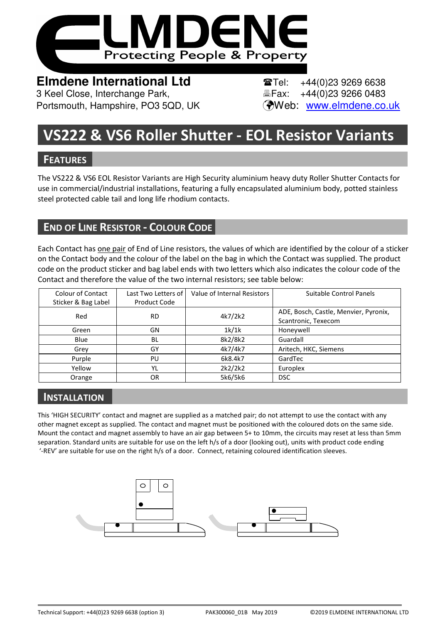

**Elmdene International Ltd Tel:** +44(0)23 9269 6638 3 Keel Close, Interchange Park, Fax: +44(0)23 9266 0483 Portsmouth, Hampshire, PO3 5QD, UK (Web: www.elmdene.co.uk

# **VS222 & VS6 Roller Shutter - EOL Resistor Variants**

### **FEATURES**

The VS222 & VS6 EOL Resistor Variants are High Security aluminium heavy duty Roller Shutter Contacts for use in commercial/industrial installations, featuring a fully encapsulated aluminium body, potted stainless steel protected cable tail and long life rhodium contacts.

# **END OF LINE RESISTOR - COLOUR CODE**

Each Contact has one pair of End of Line resistors, the values of which are identified by the colour of a sticker on the Contact body and the colour of the label on the bag in which the Contact was supplied. The product code on the product sticker and bag label ends with two letters which also indicates the colour code of the Contact and therefore the value of the two internal resistors; see table below:

| <b>Colour of Contact</b> | Last Two Letters of | Value of Internal Resistors | Suitable Control Panels               |
|--------------------------|---------------------|-----------------------------|---------------------------------------|
| Sticker & Bag Label      | Product Code        |                             |                                       |
| Red                      | <b>RD</b>           | 4k7/2k2                     | ADE, Bosch, Castle, Menvier, Pyronix, |
|                          |                     |                             | Scantronic, Texecom                   |
| Green                    | GN                  | 1k/1k                       | Honeywell                             |
| Blue                     | BL                  | 8k2/8k2                     | Guardall                              |
| Grey                     | GY                  | 4k7/4k7                     | Aritech, HKC, Siemens                 |
| Purple                   | PU                  | 6k8.4k7                     | GardTec                               |
| Yellow                   | YL                  | 2k2/2k2                     | Europlex                              |
| Orange                   | OR                  | 5k6/5k6                     | <b>DSC</b>                            |

# **INSTALLATION**

This 'HIGH SECURITY' contact and magnet are supplied as a matched pair; do not attempt to use the contact with any other magnet except as supplied. The contact and magnet must be positioned with the coloured dots on the same side. Mount the contact and magnet assembly to have an air gap between 5+ to 10mm, the circuits may reset at less than 5mm separation. Standard units are suitable for use on the left h/s of a door (looking out), units with product code ending '-REV' are suitable for use on the right h/s of a door. Connect, retaining coloured identification sleeves.

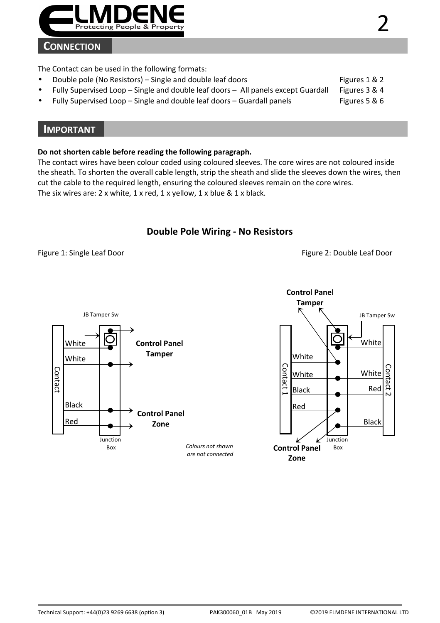

### **CONNECTION**

The Contact can be used in the following formats:

- Double pole (No Resistors) Single and double leaf doors Figures 1 & 2
- Fully Supervised Loop Single and double leaf doors All panels except Guardall Figures 3 & 4
- Fully Supervised Loop Single and double leaf doors Guardall panels Figures 5 & 6

### **IMPORTANT**

#### **Do not shorten cable before reading the following paragraph.**

The contact wires have been colour coded using coloured sleeves. The core wires are not coloured inside the sheath. To shorten the overall cable length, strip the sheath and slide the sleeves down the wires, then cut the cable to the required length, ensuring the coloured sleeves remain on the core wires. The six wires are: 2 x white, 1 x red, 1 x yellow, 1 x blue & 1 x black.

### **Double Pole Wiring - No Resistors**

Figure 1: Single Leaf Door **Figure 2: Double Leaf Door** Figure 2: Double Leaf Door



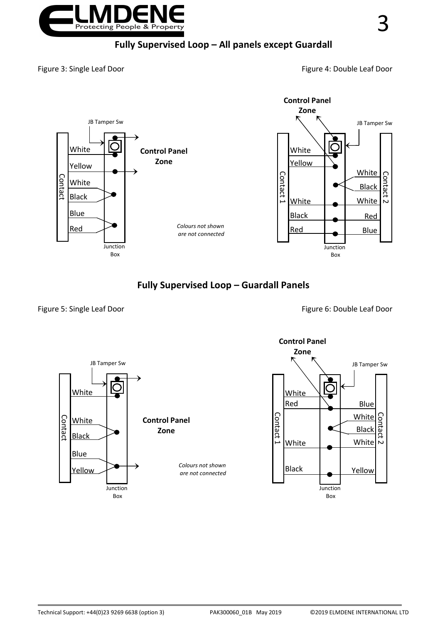

### **Fully Supervised Loop – All panels except Guardall**

Figure 3: Single Leaf Door **Figure 4: Double Leaf Door** Figure 4: Double Leaf Door



**Fully Supervised Loop – Guardall Panels** 

Figure 5: Single Leaf Door **Figure 6: Double Leaf Door** Figure 6: Double Leaf Door